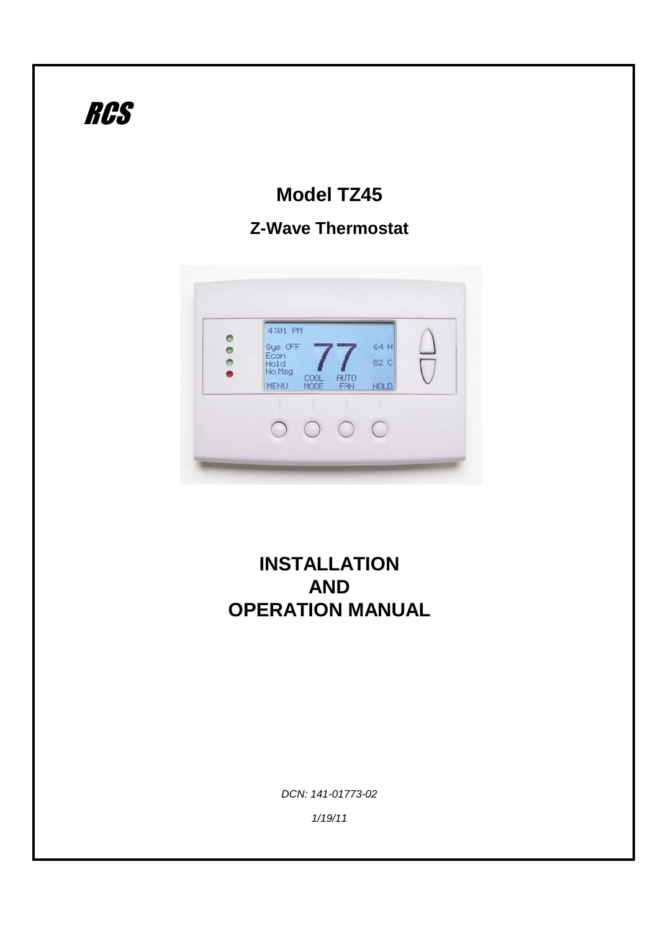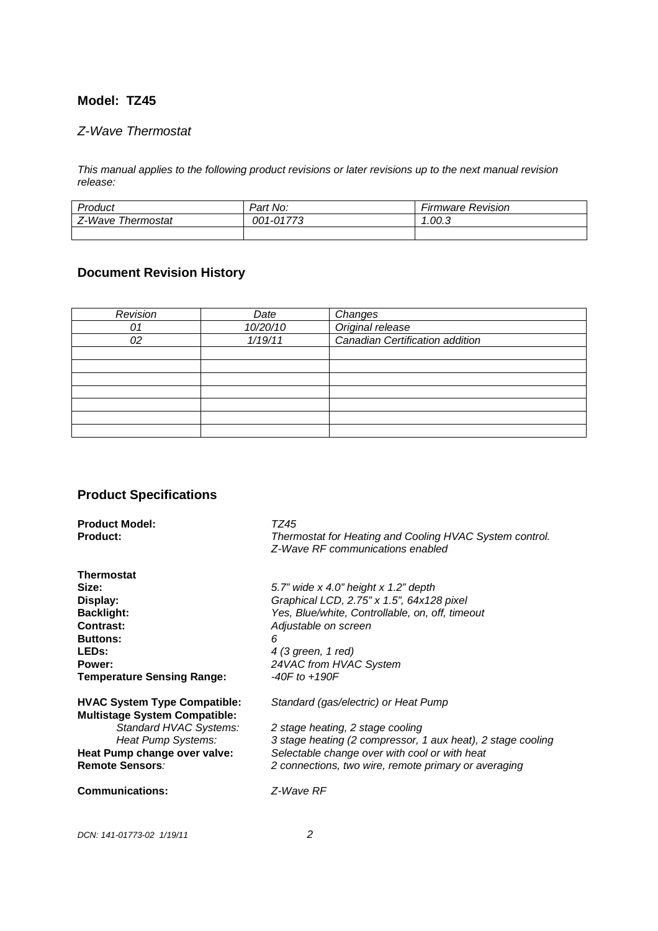## **Model: TZ45**

## Z-Wave Thermostat

This manual applies to the following product revisions or later revisions up to the next manual revision release:

| Product              | Part No:              | --<br>Firmware Revision |
|----------------------|-----------------------|-------------------------|
| Z-Wave<br>Thermostat | $1-0177^\circ$<br>001 | 1.00.3                  |
|                      |                       |                         |

# **Document Revision History**

| Revision | Date     | Changes                         |
|----------|----------|---------------------------------|
| 01       | 10/20/10 | Original release                |
| 02       | 1/19/11  | Canadian Certification addition |
|          |          |                                 |
|          |          |                                 |
|          |          |                                 |
|          |          |                                 |
|          |          |                                 |
|          |          |                                 |
|          |          |                                 |

# **Product Specifications**

| <b>Product Model:</b>                | TZ45                                                                                        |
|--------------------------------------|---------------------------------------------------------------------------------------------|
| <b>Product:</b>                      | Thermostat for Heating and Cooling HVAC System control.<br>Z-Wave RF communications enabled |
| <b>Thermostat</b>                    |                                                                                             |
| Size:                                | 5.7" wide $x$ 4.0" height $x$ 1.2" depth                                                    |
| Display:                             | Graphical LCD, 2.75" x 1.5", 64x128 pixel                                                   |
| <b>Backlight:</b>                    | Yes, Blue/white, Controllable, on, off, timeout                                             |
| <b>Contrast:</b>                     | Adjustable on screen                                                                        |
| <b>Buttons:</b>                      | 6                                                                                           |
| <b>LEDs:</b>                         | 4 (3 green, 1 red)                                                                          |
| Power:                               | 24VAC from HVAC System                                                                      |
| <b>Temperature Sensing Range:</b>    | $-40F$ to $+190F$                                                                           |
| <b>HVAC System Type Compatible:</b>  | Standard (gas/electric) or Heat Pump                                                        |
| <b>Multistage System Compatible:</b> |                                                                                             |
| Standard HVAC Systems:               | 2 stage heating, 2 stage cooling                                                            |
| Heat Pump Systems:                   | 3 stage heating (2 compressor, 1 aux heat), 2 stage cooling                                 |
| Heat Pump change over valve:         | Selectable change over with cool or with heat                                               |
| Remote Sensors:                      | 2 connections, two wire, remote primary or averaging                                        |
| <b>Communications:</b>               | Z-Wave RF                                                                                   |
|                                      |                                                                                             |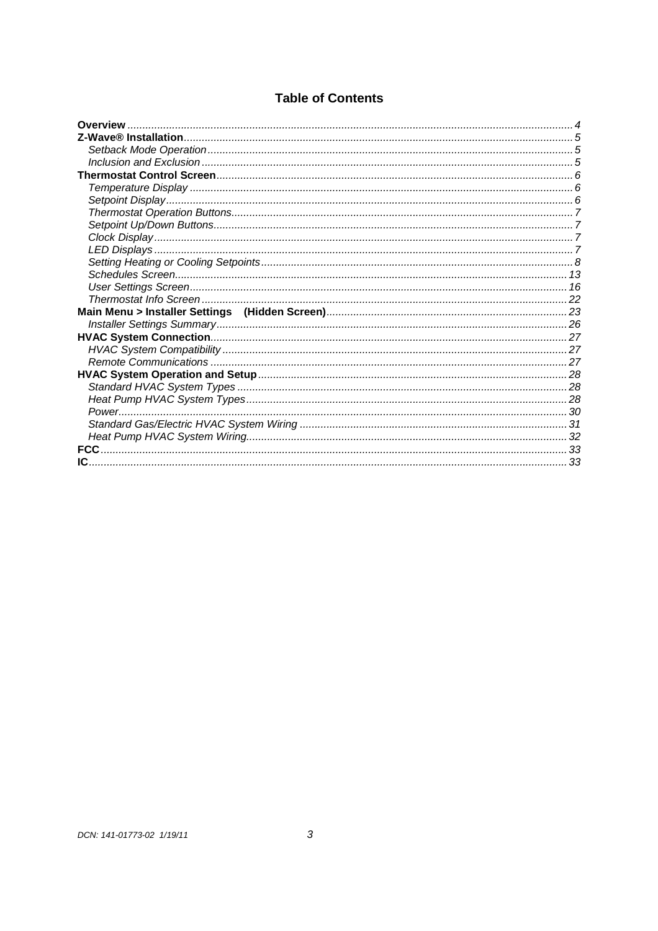# **Table of Contents**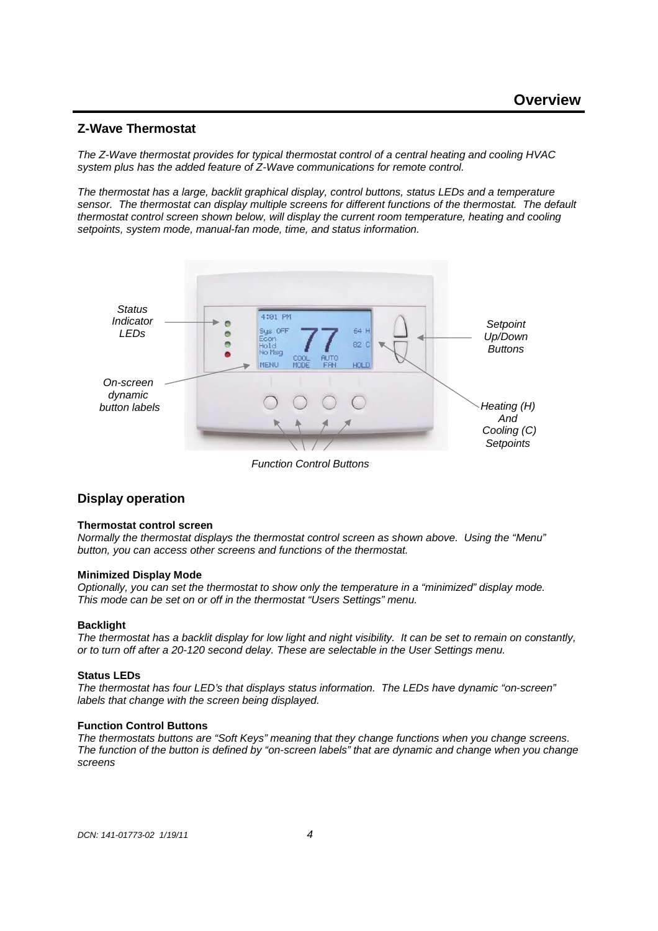## **Z-Wave Thermostat**

The Z-Wave thermostat provides for typical thermostat control of a central heating and cooling HVAC system plus has the added feature of Z-Wave communications for remote control.

The thermostat has a large, backlit graphical display, control buttons, status LEDs and a temperature sensor. The thermostat can display multiple screens for different functions of the thermostat. The default thermostat control screen shown below, will display the current room temperature, heating and cooling setpoints, system mode, manual-fan mode, time, and status information.



Function Control Buttons

## **Display operation**

#### **Thermostat control screen**

Normally the thermostat displays the thermostat control screen as shown above. Using the "Menu" button, you can access other screens and functions of the thermostat.

#### **Minimized Display Mode**

Optionally, you can set the thermostat to show only the temperature in a "minimized" display mode. This mode can be set on or off in the thermostat "Users Settings" menu.

#### **Backlight**

The thermostat has a backlit display for low light and night visibility. It can be set to remain on constantly, or to turn off after a 20-120 second delay. These are selectable in the User Settings menu.

#### **Status LEDs**

The thermostat has four LED's that displays status information. The LEDs have dynamic "on-screen" labels that change with the screen being displayed.

#### **Function Control Buttons**

The thermostats buttons are "Soft Keys" meaning that they change functions when you change screens. The function of the button is defined by "on-screen labels" that are dynamic and change when you change screens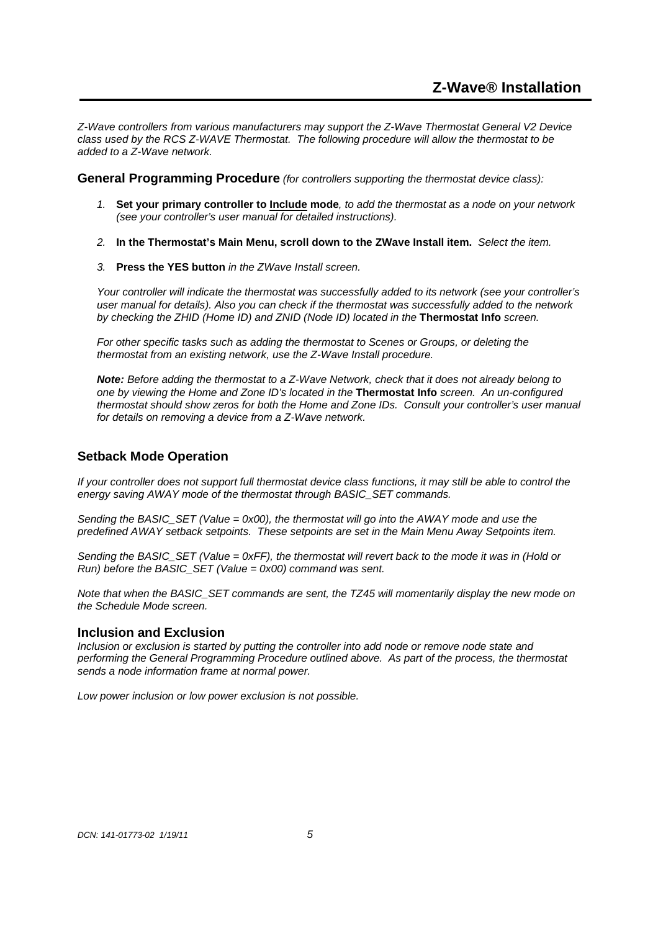Z-Wave controllers from various manufacturers may support the Z-Wave Thermostat General V2 Device class used by the RCS Z-WAVE Thermostat. The following procedure will allow the thermostat to be added to a Z-Wave network.

**General Programming Procedure** (for controllers supporting the thermostat device class):

- 1. **Set your primary controller to Include mode**, to add the thermostat as a node on your network (see your controller's user manual for detailed instructions).
- 2. **In the Thermostat's Main Menu, scroll down to the ZWave Install item.** Select the item.
- 3. **Press the YES button** in the ZWave Install screen.

Your controller will indicate the thermostat was successfully added to its network (see your controller's user manual for details). Also you can check if the thermostat was successfully added to the network by checking the ZHID (Home ID) and ZNID (Node ID) located in the **Thermostat Info** screen.

For other specific tasks such as adding the thermostat to Scenes or Groups, or deleting the thermostat from an existing network, use the Z-Wave Install procedure.

**Note:** Before adding the thermostat to a Z-Wave Network, check that it does not already belong to one by viewing the Home and Zone ID's located in the **Thermostat Info** screen. An un-configured thermostat should show zeros for both the Home and Zone IDs. Consult your controller's user manual for details on removing a device from a Z-Wave network.

## **Setback Mode Operation**

If your controller does not support full thermostat device class functions, it may still be able to control the energy saving AWAY mode of the thermostat through BASIC\_SET commands.

Sending the BASIC SET (Value =  $0x00$ ), the thermostat will go into the AWAY mode and use the predefined AWAY setback setpoints. These setpoints are set in the Main Menu Away Setpoints item.

Sending the BASIC\_SET (Value = 0xFF), the thermostat will revert back to the mode it was in (Hold or Run) before the BASIC\_SET (Value =  $0x00$ ) command was sent.

Note that when the BASIC\_SET commands are sent, the TZ45 will momentarily display the new mode on the Schedule Mode screen.

#### **Inclusion and Exclusion**

Inclusion or exclusion is started by putting the controller into add node or remove node state and performing the General Programming Procedure outlined above. As part of the process, the thermostat sends a node information frame at normal power.

Low power inclusion or low power exclusion is not possible.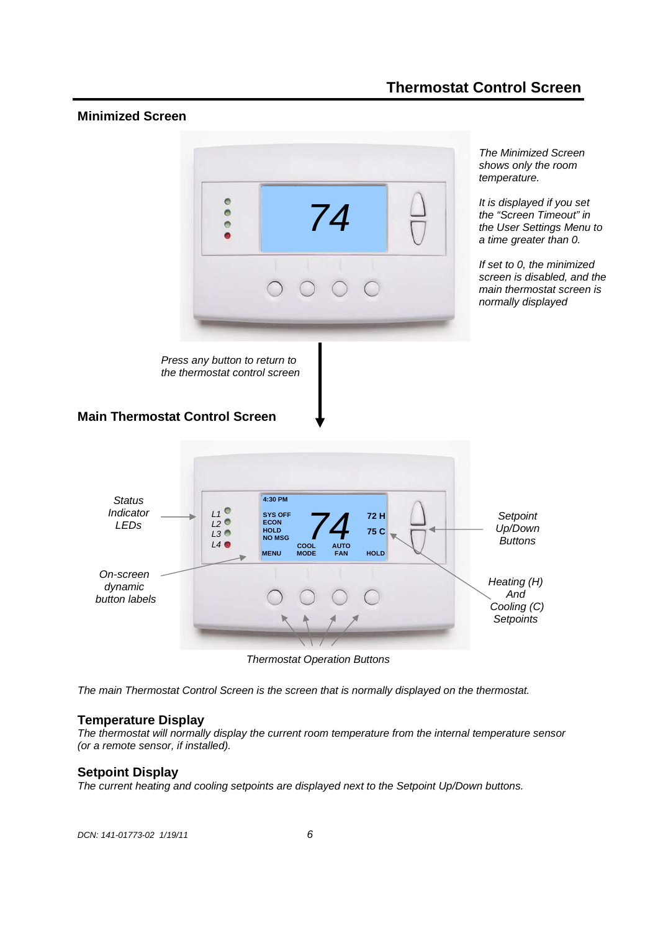# **Thermostat Control Screen**

## **Minimized Screen**



Press any button to return to the thermostat control screen

The Minimized Screen shows only the room temperature.

It is displayed if you set the "Screen Timeout" in the User Settings Menu to a time greater than 0.

If set to 0, the minimized screen is disabled, and the main thermostat screen is normally displayed

## **Main Thermostat Control Screen**



Thermostat Operation Buttons

The main Thermostat Control Screen is the screen that is normally displayed on the thermostat.

#### **Temperature Display**

The thermostat will normally display the current room temperature from the internal temperature sensor (or a remote sensor, if installed).

#### **Setpoint Display**

The current heating and cooling setpoints are displayed next to the Setpoint Up/Down buttons.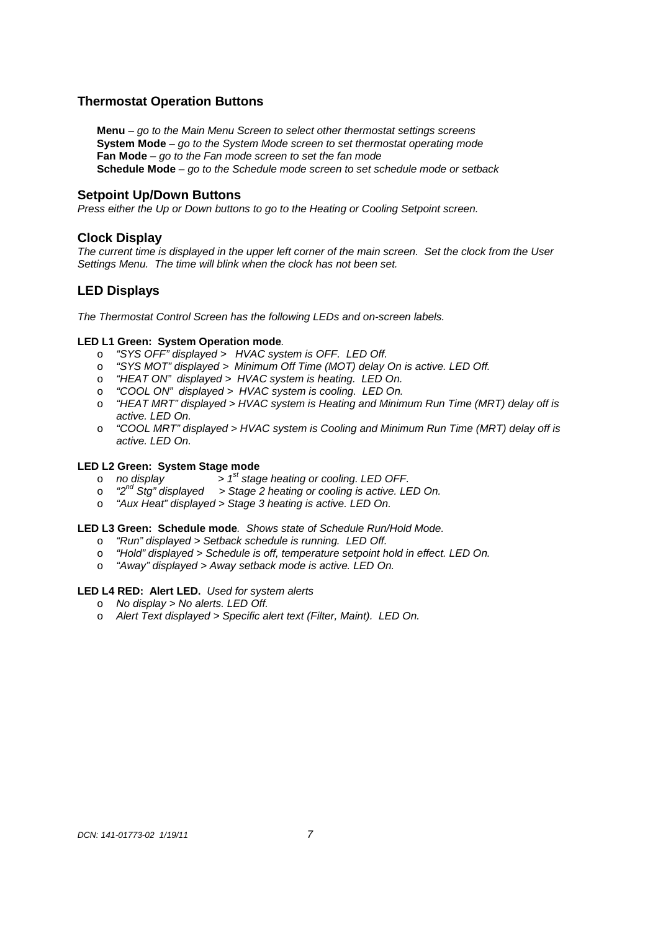## **Thermostat Operation Buttons**

**Menu** – go to the Main Menu Screen to select other thermostat settings screens **System Mode** – go to the System Mode screen to set thermostat operating mode **Fan Mode** – go to the Fan mode screen to set the fan mode **Schedule Mode** – go to the Schedule mode screen to set schedule mode or setback

#### **Setpoint Up/Down Buttons**

Press either the Up or Down buttons to go to the Heating or Cooling Setpoint screen.

#### **Clock Display**

The current time is displayed in the upper left corner of the main screen. Set the clock from the User Settings Menu. The time will blink when the clock has not been set.

## **LED Displays**

The Thermostat Control Screen has the following LEDs and on-screen labels.

#### **LED L1 Green: System Operation mode**.

- o "SYS OFF" displayed > HVAC system is OFF. LED Off.
- o "SYS MOT" displayed > Minimum Off Time (MOT) delay On is active. LED Off.
- o "HEAT ON" displayed > HVAC system is heating. LED On.
- o "COOL ON" displayed > HVAC system is cooling. LED On.
- o "HEAT MRT" displayed > HVAC system is Heating and Minimum Run Time (MRT) delay off is active. LED On.
- o "COOL MRT" displayed > HVAC system is Cooling and Minimum Run Time (MRT) delay off is active. LED On.

#### **LED L2 Green: System Stage mode**

- $\circ$  no display  $\qquad \qquad > 1^{st}$  stage heating or cooling. LED OFF.
- $\circ$  "2<sup>nd</sup> Stg" displayed > Stage 2 heating or cooling is active. LED On.
- o "Aux Heat" displayed > Stage 3 heating is active. LED On.

#### **LED L3 Green: Schedule mode**. Shows state of Schedule Run/Hold Mode.

- o "Run" displayed > Setback schedule is running. LED Off.
- o "Hold" displayed > Schedule is off, temperature setpoint hold in effect. LED On.
- o "Away" displayed > Away setback mode is active. LED On.

#### **LED L4 RED: Alert LED.** Used for system alerts

- o No display > No alerts. LED Off.
- o Alert Text displayed > Specific alert text (Filter, Maint). LED On.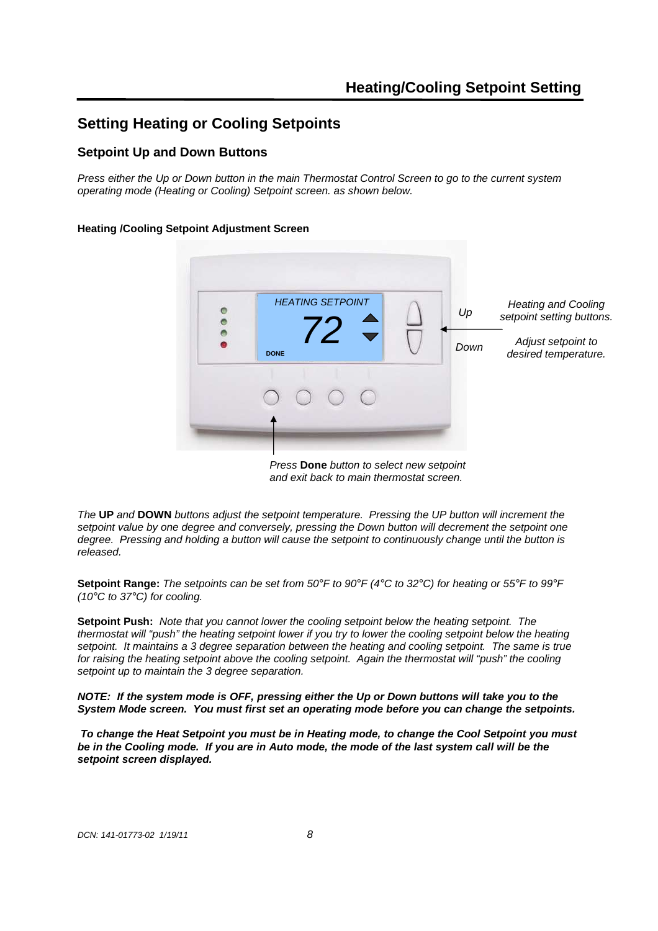# **Setting Heating or Cooling Setpoints**

## **Setpoint Up and Down Buttons**

Press either the Up or Down button in the main Thermostat Control Screen to go to the current system operating mode (Heating or Cooling) Setpoint screen. as shown below.

#### **Heating /Cooling Setpoint Adjustment Screen**



Press **Done** button to select new setpoint and exit back to main thermostat screen.

The **UP** and **DOWN** buttons adjust the setpoint temperature. Pressing the UP button will increment the setpoint value by one degree and conversely, pressing the Down button will decrement the setpoint one degree. Pressing and holding a button will cause the setpoint to continuously change until the button is released.

**Setpoint Range:** The setpoints can be set from 50°F to 90°F (4°C to 32°C) for heating or 55°F to 99°F (10 $\degree$ C to 37 $\degree$ C) for cooling.

**Setpoint Push:** Note that you cannot lower the cooling setpoint below the heating setpoint. The thermostat will "push" the heating setpoint lower if you try to lower the cooling setpoint below the heating setpoint. It maintains a 3 degree separation between the heating and cooling setpoint. The same is true for raising the heating setpoint above the cooling setpoint. Again the thermostat will "push" the cooling setpoint up to maintain the 3 degree separation.

**NOTE: If the system mode is OFF, pressing either the Up or Down buttons will take you to the System Mode screen. You must first set an operating mode before you can change the setpoints.** 

 **To change the Heat Setpoint you must be in Heating mode, to change the Cool Setpoint you must be in the Cooling mode. If you are in Auto mode, the mode of the last system call will be the setpoint screen displayed.**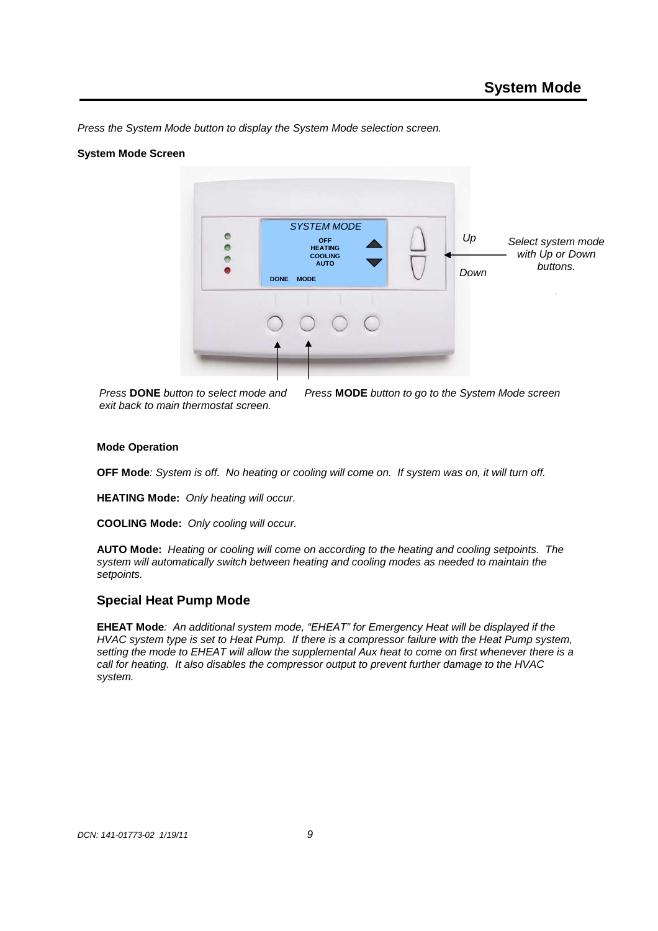Press the System Mode button to display the System Mode selection screen.

#### **System Mode Screen**



Press **DONE** button to select mode and exit back to main thermostat screen.

Press **MODE** button to go to the System Mode screen

#### **Mode Operation**

**OFF Mode**: System is off. No heating or cooling will come on. If system was on, it will turn off.

**HEATING Mode:** Only heating will occur.

**COOLING Mode:** Only cooling will occur.

**AUTO Mode:** Heating or cooling will come on according to the heating and cooling setpoints. The system will automatically switch between heating and cooling modes as needed to maintain the setpoints.

#### **Special Heat Pump Mode**

**EHEAT Mode**: An additional system mode, "EHEAT" for Emergency Heat will be displayed if the HVAC system type is set to Heat Pump. If there is a compressor failure with the Heat Pump system, setting the mode to EHEAT will allow the supplemental Aux heat to come on first whenever there is a call for heating. It also disables the compressor output to prevent further damage to the HVAC system.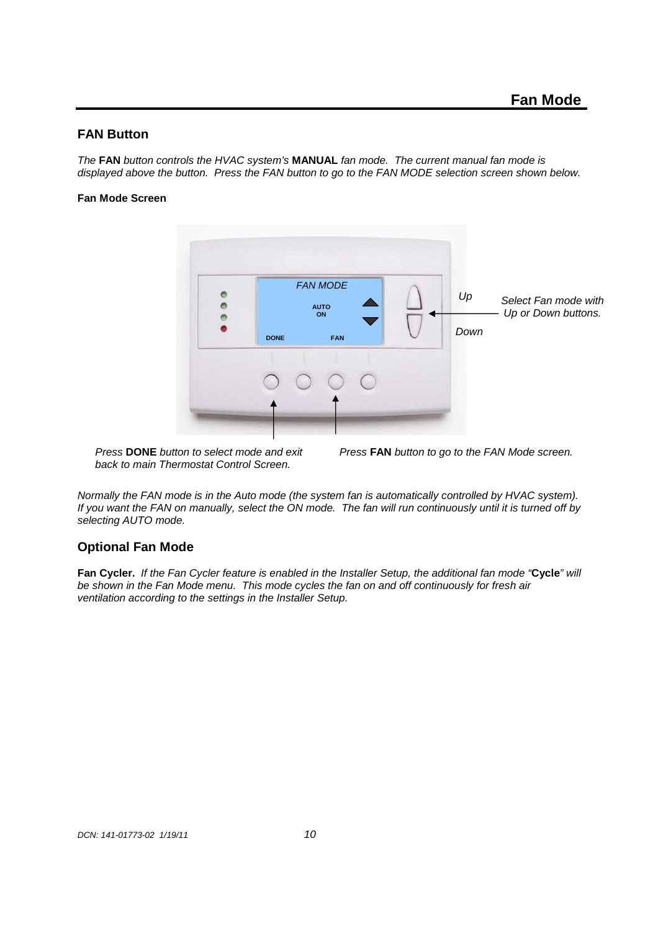## **FAN Button**

The **FAN** button controls the HVAC system's **MANUAL** fan mode. The current manual fan mode is displayed above the button. Press the FAN button to go to the FAN MODE selection screen shown below.

#### **Fan Mode Screen**



Press **DONE** button to select mode and exit back to main Thermostat Control Screen.

Press **FAN** button to go to the FAN Mode screen.

Normally the FAN mode is in the Auto mode (the system fan is automatically controlled by HVAC system). If you want the FAN on manually, select the ON mode. The fan will run continuously until it is turned off by selecting AUTO mode.

#### **Optional Fan Mode**

**Fan Cycler.** If the Fan Cycler feature is enabled in the Installer Setup, the additional fan mode "**Cycle**" will be shown in the Fan Mode menu. This mode cycles the fan on and off continuously for fresh air ventilation according to the settings in the Installer Setup.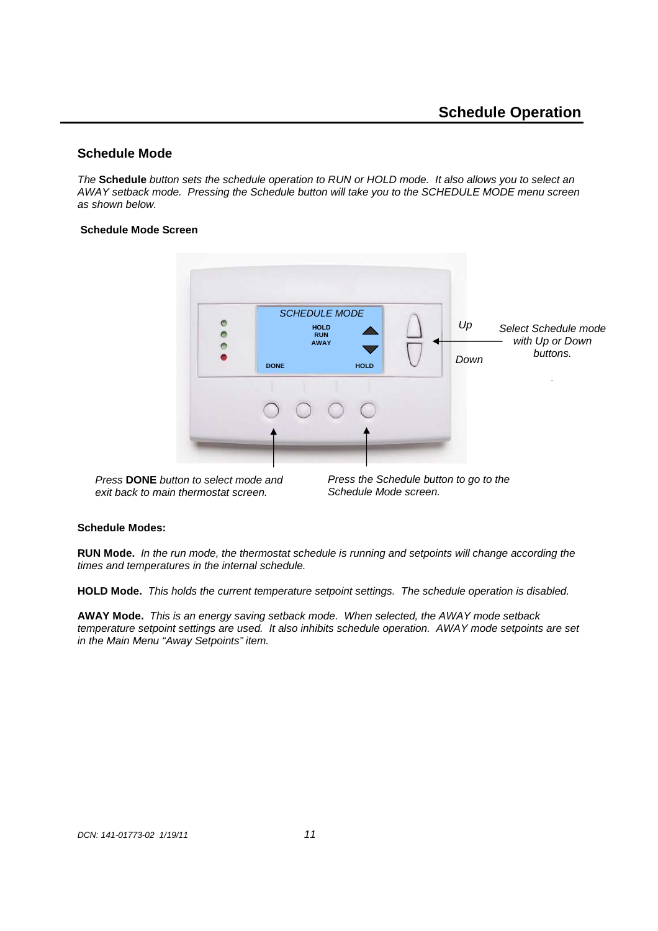## **Schedule Mode**

The **Schedule** button sets the schedule operation to RUN or HOLD mode. It also allows you to select an AWAY setback mode. Pressing the Schedule button will take you to the SCHEDULE MODE menu screen as shown below.

#### **Schedule Mode Screen**



Press **DONE** button to select mode and exit back to main thermostat screen.

Press the Schedule button to go to the Schedule Mode screen.

#### **Schedule Modes:**

**RUN Mode.** In the run mode, the thermostat schedule is running and setpoints will change according the times and temperatures in the internal schedule.

**HOLD Mode.** This holds the current temperature setpoint settings. The schedule operation is disabled.

**AWAY Mode.** This is an energy saving setback mode. When selected, the AWAY mode setback temperature setpoint settings are used. It also inhibits schedule operation. AWAY mode setpoints are set in the Main Menu "Away Setpoints" item.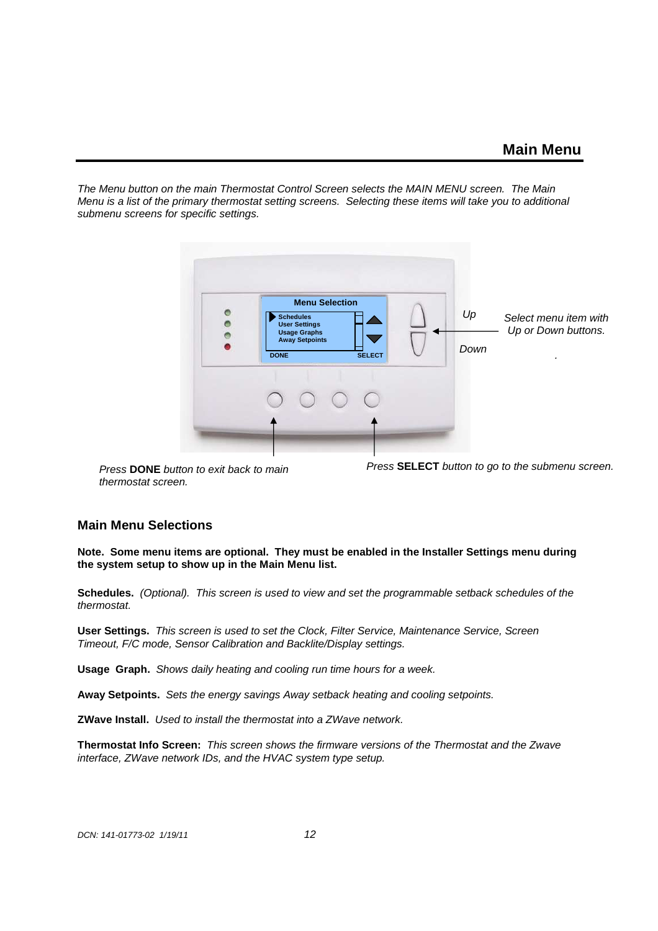The Menu button on the main Thermostat Control Screen selects the MAIN MENU screen. The Main Menu is a list of the primary thermostat setting screens. Selecting these items will take you to additional submenu screens for specific settings.



Press **DONE** button to exit back to main thermostat screen.

Press **SELECT** button to go to the submenu screen.

#### **Main Menu Selections**

**Note. Some menu items are optional. They must be enabled in the Installer Settings menu during the system setup to show up in the Main Menu list.** 

**Schedules.** (Optional). This screen is used to view and set the programmable setback schedules of the thermostat.

**User Settings.** This screen is used to set the Clock, Filter Service, Maintenance Service, Screen Timeout, F/C mode, Sensor Calibration and Backlite/Display settings.

**Usage Graph.** Shows daily heating and cooling run time hours for a week.

**Away Setpoints.** Sets the energy savings Away setback heating and cooling setpoints.

**ZWave Install.** Used to install the thermostat into a ZWave network.

**Thermostat Info Screen:** This screen shows the firmware versions of the Thermostat and the Zwave interface, ZWave network IDs, and the HVAC system type setup.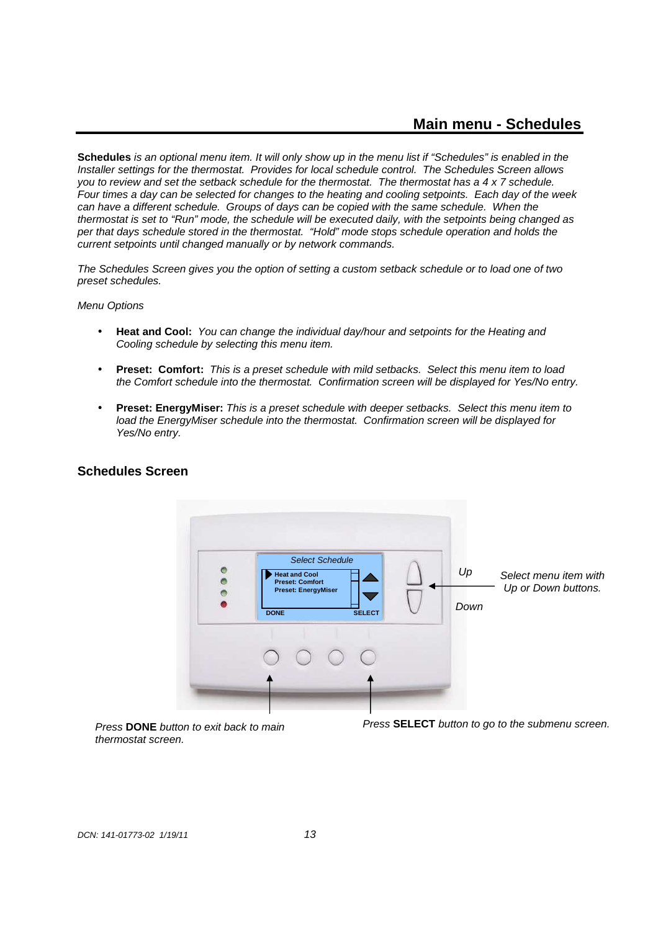**Schedules** is an optional menu item. It will only show up in the menu list if "Schedules" is enabled in the Installer settings for the thermostat. Provides for local schedule control. The Schedules Screen allows you to review and set the setback schedule for the thermostat. The thermostat has a  $4 \times 7$  schedule. Four times a day can be selected for changes to the heating and cooling setpoints. Each day of the week can have a different schedule. Groups of days can be copied with the same schedule. When the thermostat is set to "Run" mode, the schedule will be executed daily, with the setpoints being changed as per that days schedule stored in the thermostat. "Hold" mode stops schedule operation and holds the current setpoints until changed manually or by network commands.

The Schedules Screen gives you the option of setting a custom setback schedule or to load one of two preset schedules.

Menu Options

- **Heat and Cool:** You can change the individual day/hour and setpoints for the Heating and Cooling schedule by selecting this menu item.
- **Preset: Comfort:** This is a preset schedule with mild setbacks. Select this menu item to load the Comfort schedule into the thermostat. Confirmation screen will be displayed for Yes/No entry.
- **Preset: EnergyMiser:** This is a preset schedule with deeper setbacks. Select this menu item to load the EnergyMiser schedule into the thermostat. Confirmation screen will be displayed for Yes/No entry.



## **Schedules Screen**

Press **DONE** button to exit back to main thermostat screen.

Press **SELECT** button to go to the submenu screen.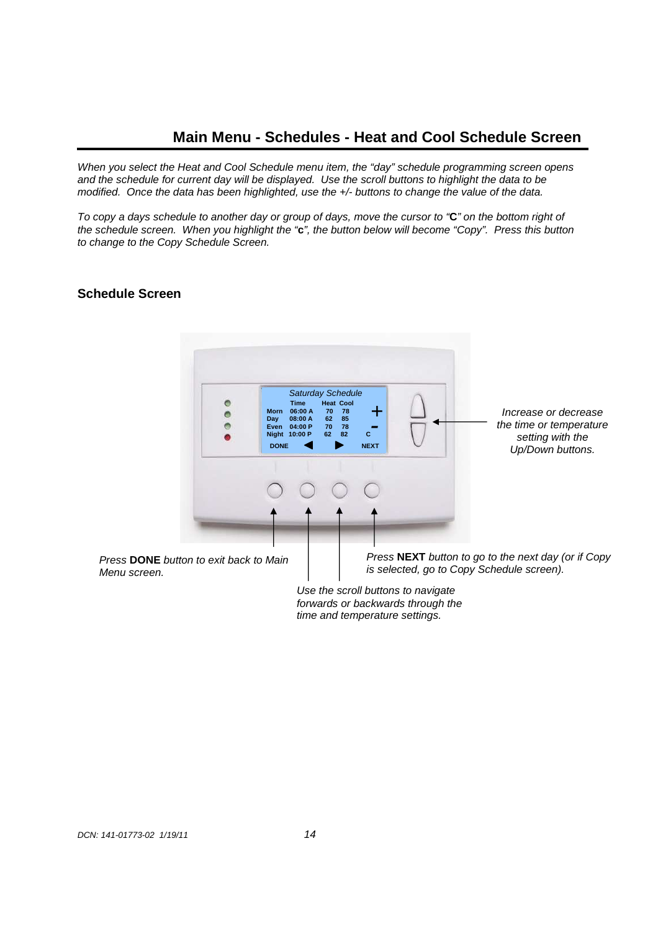## **Main Menu - Schedules - Heat and Cool Schedule Screen**

When you select the Heat and Cool Schedule menu item, the "day" schedule programming screen opens and the schedule for current day will be displayed. Use the scroll buttons to highlight the data to be modified. Once the data has been highlighted, use the +/- buttons to change the value of the data.

To copy a days schedule to another day or group of days, move the cursor to "**C**" on the bottom right of the schedule screen. When you highlight the "**c**", the button below will become "Copy". Press this button to change to the Copy Schedule Screen.

## **Schedule Screen**



Use the scroll buttons to navigate forwards or backwards through the time and temperature settings.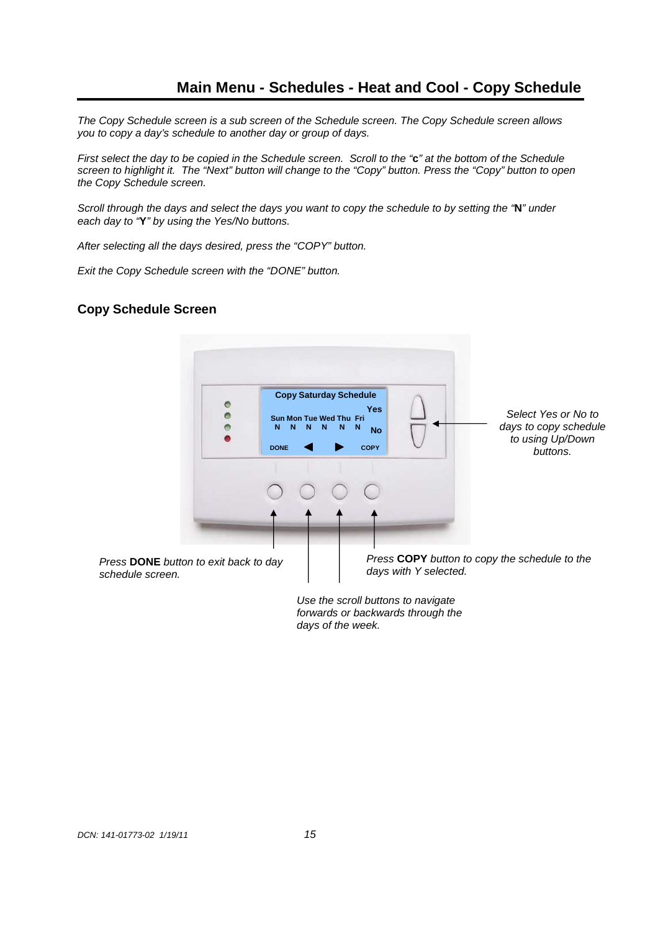# **Main Menu - Schedules - Heat and Cool - Copy Schedule**

The Copy Schedule screen is a sub screen of the Schedule screen. The Copy Schedule screen allows you to copy a day's schedule to another day or group of days.

First select the day to be copied in the Schedule screen. Scroll to the "**c**" at the bottom of the Schedule screen to highlight it. The "Next" button will change to the "Copy" button. Press the "Copy" button to open the Copy Schedule screen.

Scroll through the days and select the days you want to copy the schedule to by setting the "**N**" under each day to "**Y**" by using the Yes/No buttons.

After selecting all the days desired, press the "COPY" button.

Exit the Copy Schedule screen with the "DONE" button.

## **Copy Schedule Screen**



Use the scroll buttons to navigate forwards or backwards through the days of the week.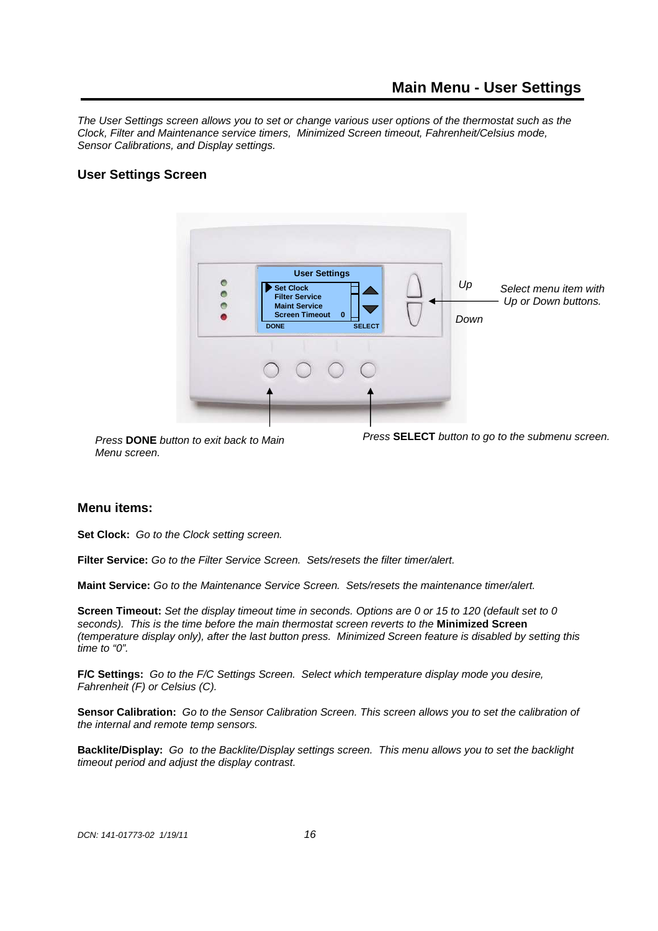The User Settings screen allows you to set or change various user options of the thermostat such as the Clock, Filter and Maintenance service timers, Minimized Screen timeout, Fahrenheit/Celsius mode, Sensor Calibrations, and Display settings.

## **User Settings Screen**



Press **DONE** button to exit back to Main Menu screen.

Press **SELECT** button to go to the submenu screen.

#### **Menu items:**

**Set Clock:** Go to the Clock setting screen.

**Filter Service:** Go to the Filter Service Screen.Sets/resets the filter timer/alert.

**Maint Service:** Go to the Maintenance Service Screen.Sets/resets the maintenance timer/alert.

**Screen Timeout:** Set the display timeout time in seconds. Options are 0 or 15 to 120 (default set to 0 seconds). This is the time before the main thermostat screen reverts to the **Minimized Screen** (temperature display only), after the last button press. Minimized Screen feature is disabled by setting this time to "0".

**F/C Settings:** Go to the F/C Settings Screen.Select which temperature display mode you desire, Fahrenheit (F) or Celsius (C).

**Sensor Calibration:** Go to the Sensor Calibration Screen. This screen allows you to set the calibration of the internal and remote temp sensors.

**Backlite/Display:** Go to the Backlite/Display settings screen. This menu allows you to set the backlight timeout period and adjust the display contrast.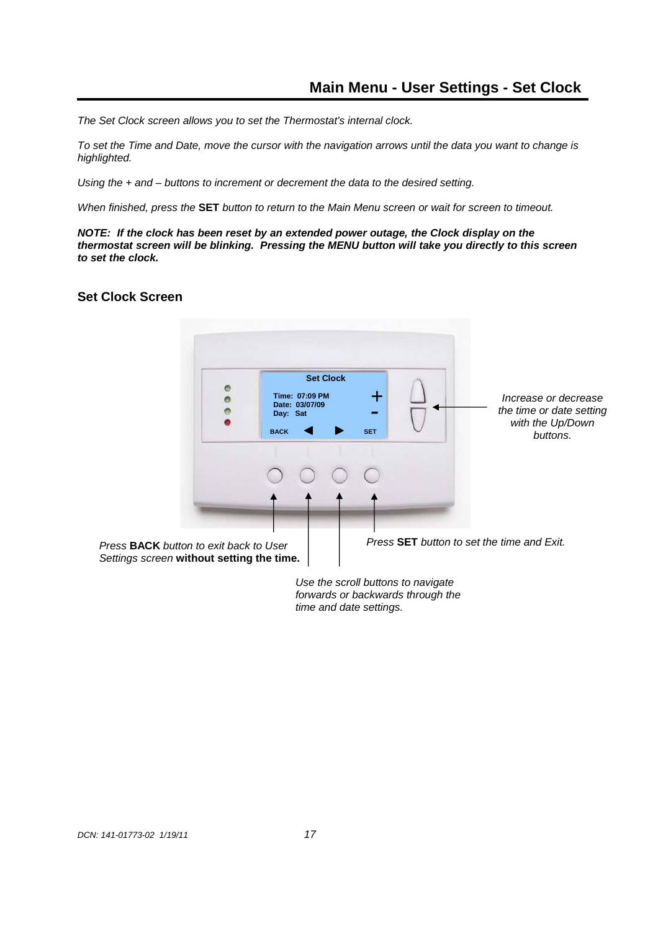The Set Clock screen allows you to set the Thermostat's internal clock.

To set the Time and Date, move the cursor with the navigation arrows until the data you want to change is highlighted.

Using the + and – buttons to increment or decrement the data to the desired setting.

When finished, press the **SET** button to return to the Main Menu screen or wait for screen to timeout.

**NOTE: If the clock has been reset by an extended power outage, the Clock display on the thermostat screen will be blinking. Pressing the MENU button will take you directly to this screen to set the clock.** 

## **Set Clock Screen**



Use the scroll buttons to navigate forwards or backwards through the time and date settings.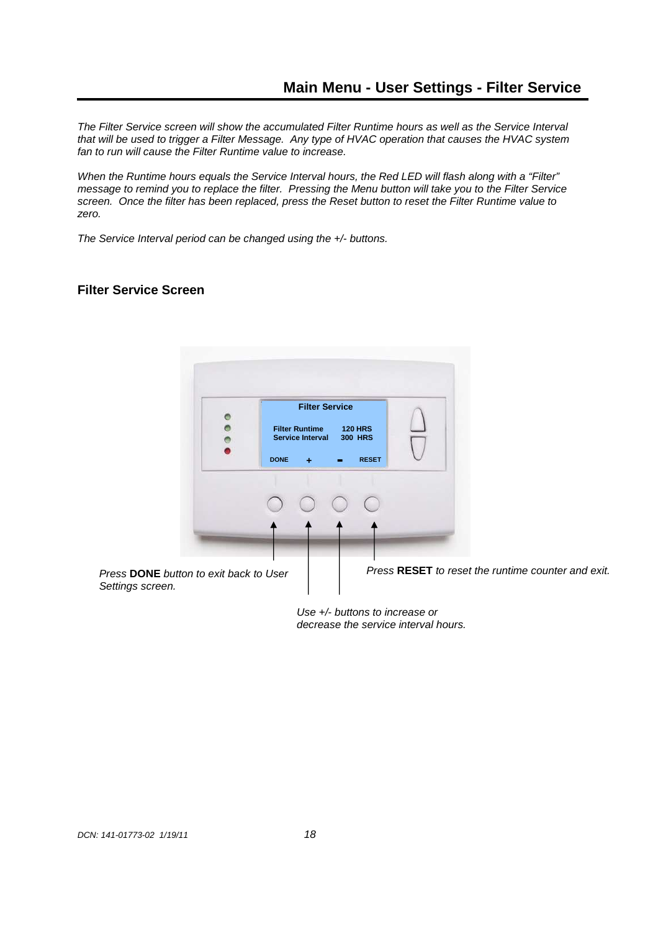The Filter Service screen will show the accumulated Filter Runtime hours as well as the Service Interval that will be used to trigger a Filter Message. Any type of HVAC operation that causes the HVAC system fan to run will cause the Filter Runtime value to increase.

When the Runtime hours equals the Service Interval hours, the Red LED will flash along with a "Filter" message to remind you to replace the filter. Pressing the Menu button will take you to the Filter Service screen. Once the filter has been replaced, press the Reset button to reset the Filter Runtime value to zero.

The Service Interval period can be changed using the  $+/-$  buttons.

## **Filter Service Screen**



Use +/- buttons to increase or decrease the service interval hours.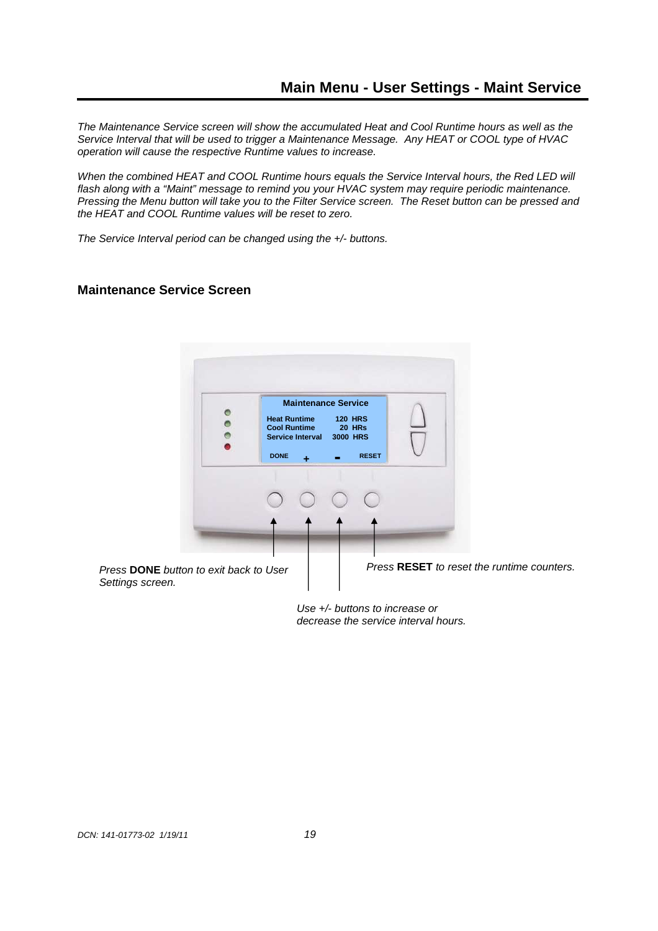The Maintenance Service screen will show the accumulated Heat and Cool Runtime hours as well as the Service Interval that will be used to trigger a Maintenance Message. Any HEAT or COOL type of HVAC operation will cause the respective Runtime values to increase.

When the combined HEAT and COOL Runtime hours equals the Service Interval hours, the Red LED will flash along with a "Maint" message to remind you your HVAC system may require periodic maintenance. Pressing the Menu button will take you to the Filter Service screen. The Reset button can be pressed and the HEAT and COOL Runtime values will be reset to zero.

The Service Interval period can be changed using the  $+/-$  buttons.

## **Maintenance Service Screen**



Use +/- buttons to increase or decrease the service interval hours.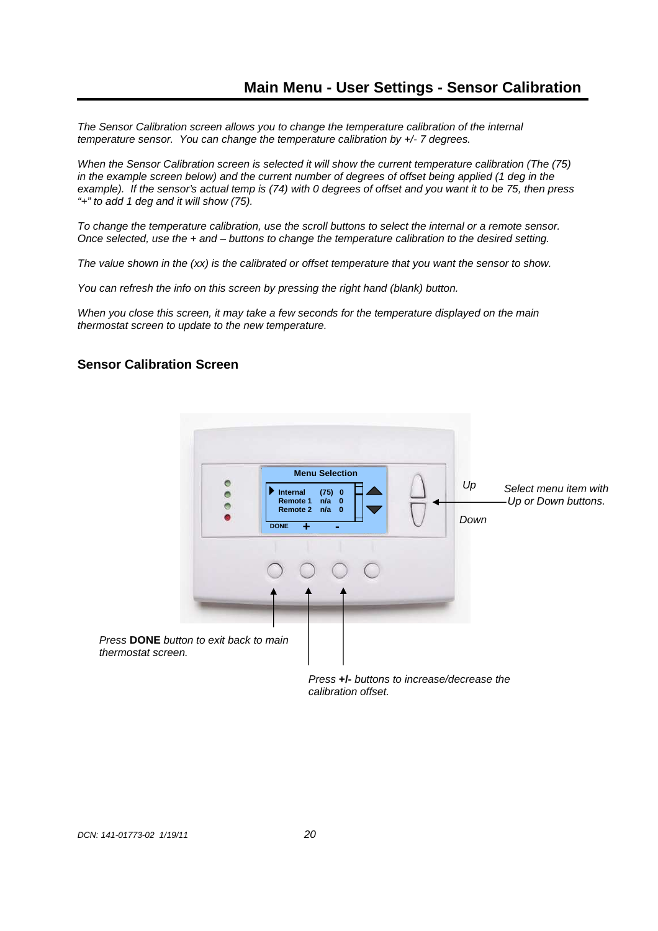The Sensor Calibration screen allows you to change the temperature calibration of the internal temperature sensor. You can change the temperature calibration by +/- 7 degrees.

When the Sensor Calibration screen is selected it will show the current temperature calibration (The (75) in the example screen below) and the current number of degrees of offset being applied (1 deg in the example). If the sensor's actual temp is (74) with 0 degrees of offset and you want it to be 75, then press "+" to add 1 deg and it will show (75).

To change the temperature calibration, use the scroll buttons to select the internal or a remote sensor. Once selected, use the + and – buttons to change the temperature calibration to the desired setting.

The value shown in the (xx) is the calibrated or offset temperature that you want the sensor to show.

You can refresh the info on this screen by pressing the right hand (blank) button.

When you close this screen, it may take a few seconds for the temperature displayed on the main thermostat screen to update to the new temperature.

## **Sensor Calibration Screen**



Press **+/-** buttons to increase/decrease the calibration offset.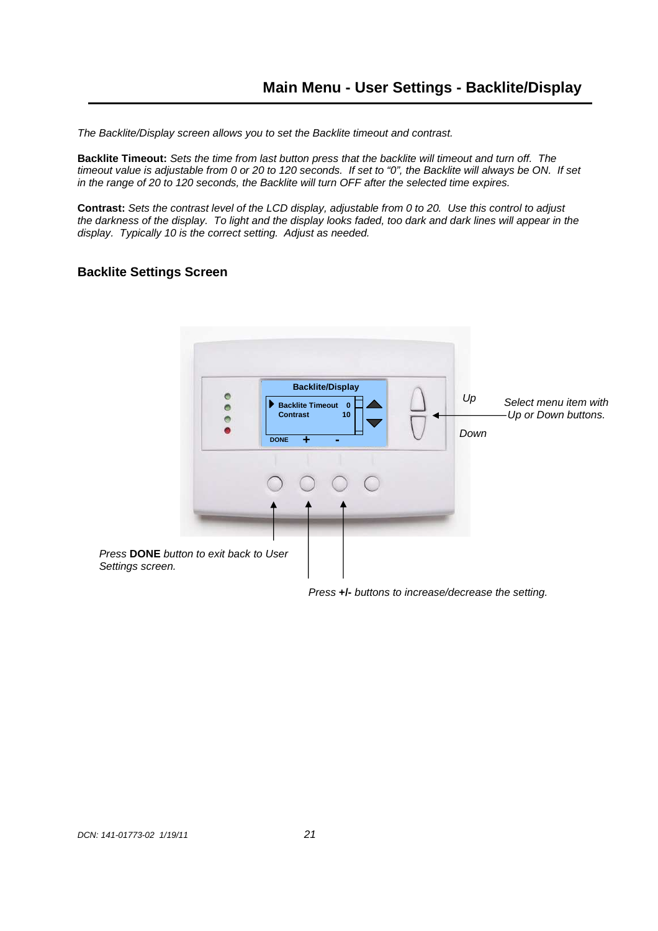The Backlite/Display screen allows you to set the Backlite timeout and contrast.

**Backlite Timeout:** Sets the time from last button press that the backlite will timeout and turn off. The timeout value is adjustable from 0 or 20 to 120 seconds. If set to "0", the Backlite will always be ON. If set in the range of 20 to 120 seconds, the Backlite will turn OFF after the selected time expires.

**Contrast:** Sets the contrast level of the LCD display, adjustable from 0 to 20. Use this control to adjust the darkness of the display. To light and the display looks faded, too dark and dark lines will appear in the display. Typically 10 is the correct setting. Adjust as needed.

## **Backlite Settings Screen**



Press **+/-** buttons to increase/decrease the setting.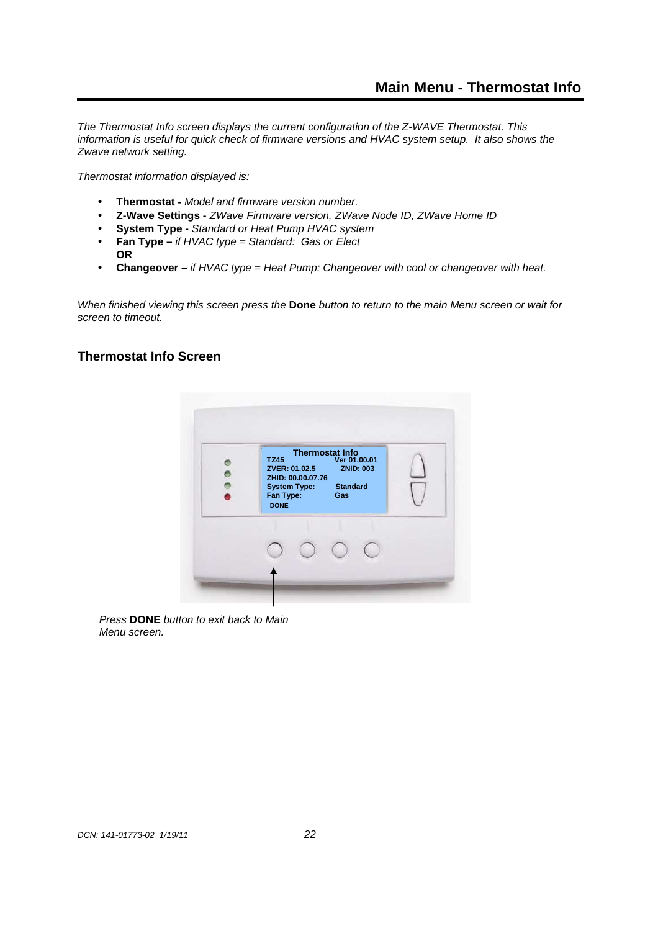The Thermostat Info screen displays the current configuration of the Z-WAVE Thermostat. This information is useful for quick check of firmware versions and HVAC system setup. It also shows the Zwave network setting.

Thermostat information displayed is:

- **Thermostat** Model and firmware version number.
- **Z-Wave Settings** ZWave Firmware version, ZWave Node ID, ZWave Home ID
- **System Type** Standard or Heat Pump HVAC system
- **Fan Type** if HVAC type = Standard: Gas or Elect **OR**
- Changeover if HVAC type = Heat Pump: Changeover with cool or changeover with heat.

When finished viewing this screen press the **Done** button to return to the main Menu screen or wait for screen to timeout.

## **Thermostat Info Screen**



Press **DONE** button to exit back to Main Menu screen.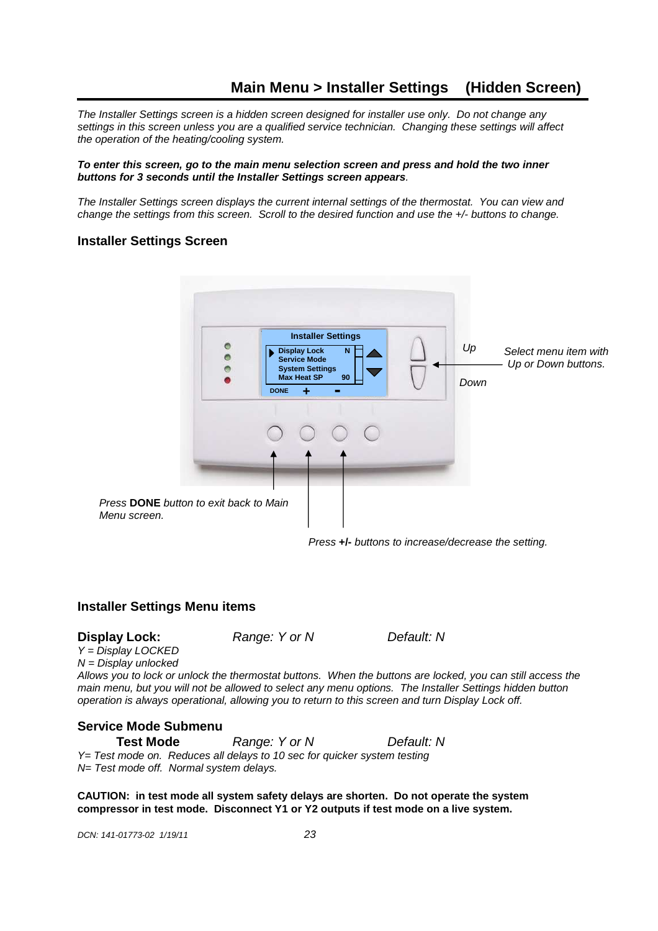# **Main Menu > Installer Settings (Hidden Screen)**

The Installer Settings screen is a hidden screen designed for installer use only. Do not change any settings in this screen unless you are a qualified service technician. Changing these settings will affect the operation of the heating/cooling system.

#### **To enter this screen, go to the main menu selection screen and press and hold the two inner buttons for 3 seconds until the Installer Settings screen appears**.

The Installer Settings screen displays the current internal settings of the thermostat. You can view and change the settings from this screen. Scroll to the desired function and use the +/- buttons to change.

#### **Installer Settings Screen**

|                                                        | $\bullet$ | <b>Installer Settings</b><br>$\mathbf N$<br><b>Display Lock</b><br><b>Service Mode</b><br><b>System Settings</b><br><b>Max Heat SP</b><br>90<br><b>DONE</b><br>÷<br>$\sim$ | Up<br>Down | Select menu item with<br>Up or Down buttons. |
|--------------------------------------------------------|-----------|----------------------------------------------------------------------------------------------------------------------------------------------------------------------------|------------|----------------------------------------------|
|                                                        |           |                                                                                                                                                                            |            |                                              |
| Press DONE button to exit back to Main<br>Menu screen. |           |                                                                                                                                                                            |            |                                              |

Press **+/-** buttons to increase/decrease the setting.

#### **Installer Settings Menu items**

**Display Lock:** Range: Y or N Default: N

 $Y = \overline{D}$ isplay LOCKED  $N =$  Display unlocked

Allows you to lock or unlock the thermostat buttons. When the buttons are locked, you can still access the main menu, but you will not be allowed to select any menu options. The Installer Settings hidden button operation is always operational, allowing you to return to this screen and turn Display Lock off.

## **Service Mode Submenu**

**Test Mode Range: Y or N** *Default: N* Y= Test mode on. Reduces all delays to 10 sec for quicker system testing N= Test mode off. Normal system delays.

**CAUTION: in test mode all system safety delays are shorten. Do not operate the system compressor in test mode. Disconnect Y1 or Y2 outputs if test mode on a live system.** 

DCN: 141-01773-02 1/19/11 23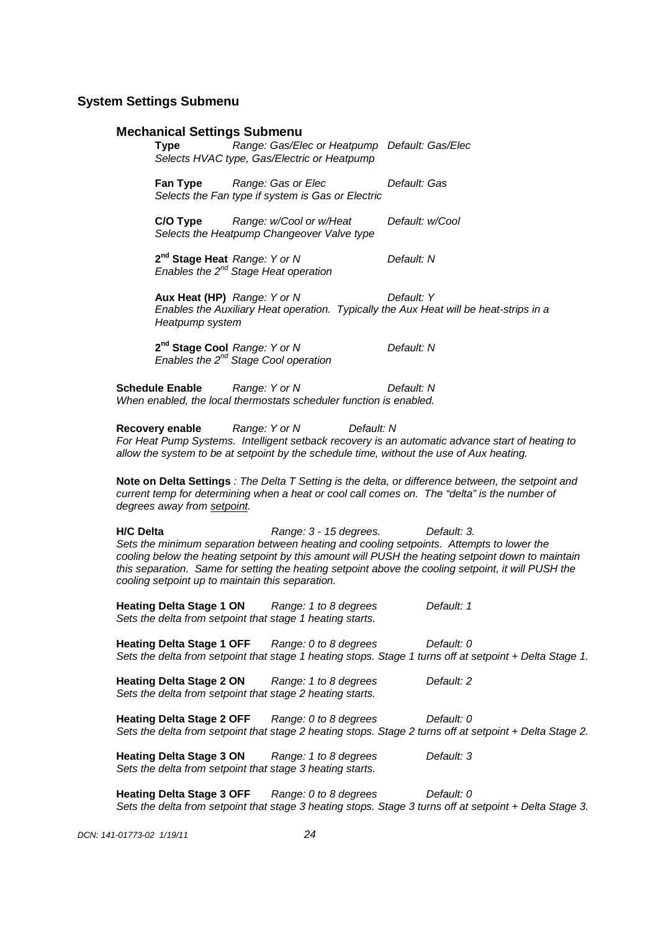#### **System Settings Submenu**

#### **Mechanical Settings Submenu**

 **Type** Range: Gas/Elec or Heatpump Default: Gas/ElecSelects HVAC type, Gas/Electric or Heatpump

**Fan Type Range: Gas or Elec Default: Gas** Selects the Fan type if system is Gas or Electric

 **C/O Type** Range: w/Cool or w/Heat Default: w/Cool Selects the Heatpump Changeover Valve type

**2<sup>nd</sup> Stage Heat** Range: Y or N Default: N **Enables the 2<sup>nd</sup> Stage Heat operation** 

**Aux Heat (HP)** Range: Y or N Default: Y Enables the Auxiliary Heat operation. Typically the Aux Heat will be heat-strips in a Heatpump system

2<sup>nd</sup> Stage Cool Range: Y or N Default: N **Example 2016** *Enables the 2<sup>nd</sup> Stage Cool operation* 

**Schedule Enable Range: Y or N** Default: N When enabled, the local thermostats scheduler function is enabled.

**Recovery enable Range: Y or N** Default: N For Heat Pump Systems. Intelligent setback recovery is an automatic advance start of heating to allow the system to be at setpoint by the schedule time, without the use of Aux heating.

**Note on Delta Settings** : The Delta T Setting is the delta, or difference between, the setpoint and current temp for determining when a heat or cool call comes on. The "delta" is the number of degrees away from setpoint.

**H/C Delta** Range: 3 - 15 degrees. Default: 3. Sets the minimum separation between heating and cooling setpoints. Attempts to lower the cooling below the heating setpoint by this amount will PUSH the heating setpoint down to maintain this separation. Same for setting the heating setpoint above the cooling setpoint, it will PUSH the cooling setpoint up to maintain this separation.

Heating Delta Stage 1 ON Range: 1 to 8 degrees Default: 1 Sets the delta from setpoint that stage 1 heating starts.

**Heating Delta Stage 1 OFF** Range: 0 to 8 degrees Default: 0 Sets the delta from setpoint that stage 1 heating stops. Stage 1 turns off at setpoint + Delta Stage 1.

**Heating Delta Stage 2 ON** Range: 1 to 8 degrees Default: 2 Sets the delta from setpoint that stage 2 heating starts.

Heating Delta Stage 2 OFF Range: 0 to 8 degrees Default: 0 Sets the delta from setpoint that stage 2 heating stops. Stage 2 turns off at setpoint + Delta Stage 2.

**Heating Delta Stage 3 ON** Range: 1 to 8 degrees Default: 3 Sets the delta from setpoint that stage 3 heating starts.

**Heating Delta Stage 3 OFF** Range: 0 to 8 degrees Default: 0 Sets the delta from setpoint that stage 3 heating stops. Stage 3 turns off at setpoint + Delta Stage 3.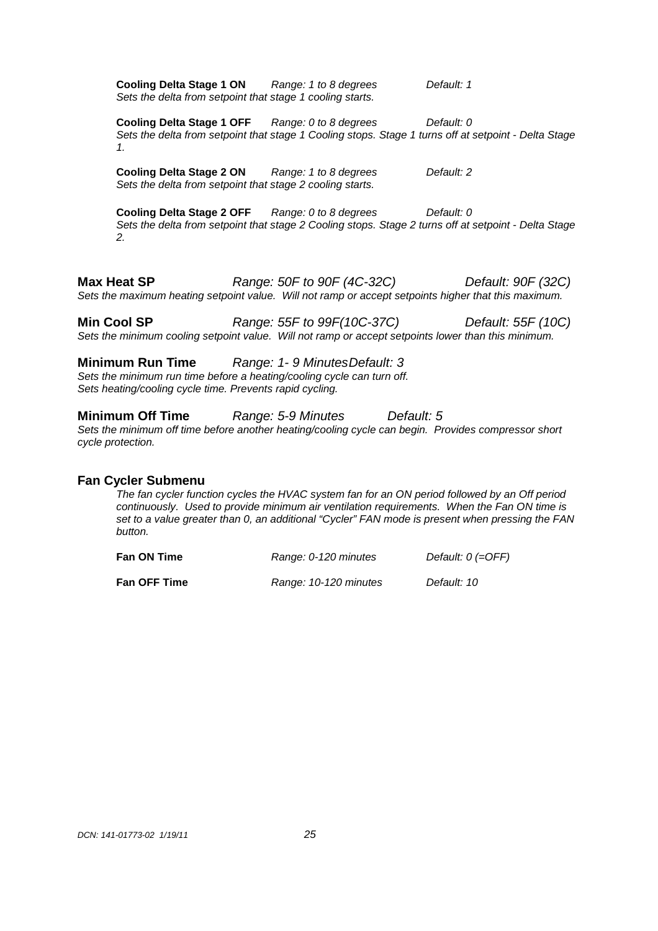**Cooling Delta Stage 1 ON** Range: 1 to 8 degrees Default: 1 Sets the delta from setpoint that stage 1 cooling starts. **Cooling Delta Stage 1 OFF** Range: 0 to 8 degrees Default: 0 Sets the delta from setpoint that stage 1 Cooling stops. Stage 1 turns off at setpoint - Delta Stage 1. **Cooling Delta Stage 2 ON** Range: 1 to 8 degrees Default: 2 Sets the delta from setpoint that stage 2 cooling starts. **Cooling Delta Stage 2 OFF** Range: 0 to 8 degrees Default: 0 Sets the delta from setpoint that stage 2 Cooling stops. Stage 2 turns off at setpoint - Delta Stage 2. **Max Heat SP** Range: 50F to 90F (4C-32C) Default: 90F (32C) Sets the maximum heating setpoint value. Will not ramp or accept setpoints higher that this maximum.

**Min Cool SP** Range: 55F to 99F(10C-37C) Default: 55F (10C) Sets the minimum cooling setpoint value. Will not ramp or accept setpoints lower than this minimum.

**Minimum Run Time** Range: 1-9 Minutes Default: 3 Sets the minimum run time before a heating/cooling cycle can turn off. Sets heating/cooling cycle time. Prevents rapid cycling.

**Minimum Off Time Range: 5-9 Minutes** *Default: 5* Sets the minimum off time before another heating/cooling cycle can begin. Provides compressor short cycle protection.

#### **Fan Cycler Submenu**

The fan cycler function cycles the HVAC system fan for an ON period followed by an Off period continuously. Used to provide minimum air ventilation requirements. When the Fan ON time is set to a value greater than 0, an additional "Cycler" FAN mode is present when pressing the FAN button.

| Fan ON Time         | Range: 0-120 minutes  | Default: $0$ (=OFF) |  |
|---------------------|-----------------------|---------------------|--|
| <b>Fan OFF Time</b> | Range: 10-120 minutes | Default: 10         |  |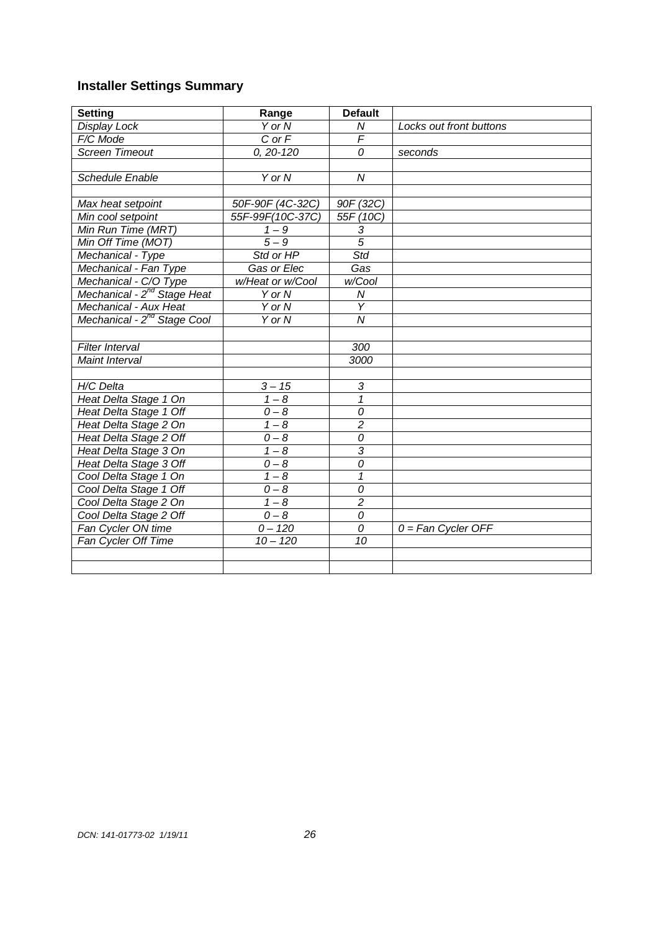# **Installer Settings Summary**

| <b>Setting</b>                          | Range            | <b>Default</b> |                         |
|-----------------------------------------|------------------|----------------|-------------------------|
| Display Lock                            | Y or N           | N              | Locks out front buttons |
| F/C Mode                                | $C$ or $F$       | $\overline{F}$ |                         |
| <b>Screen Timeout</b>                   | $0, 20 - 120$    | 0              | seconds                 |
|                                         |                  |                |                         |
| <b>Schedule Enable</b>                  | $Y$ or $N$       | $\overline{N}$ |                         |
|                                         |                  |                |                         |
| Max heat setpoint                       | 50F-90F (4C-32C) | 90F (32C)      |                         |
| Min cool setpoint                       | 55F-99F(10C-37C) | 55F (10C)      |                         |
| Min Run Time (MRT)                      | $1 - 9$          | 3              |                         |
| Min Off Time (MOT)                      | $5 - 9$          | $\overline{5}$ |                         |
| Mechanical - Type                       | Std or HP        | Std            |                         |
| Mechanical - Fan Type                   | Gas or Elec      | Gas            |                         |
| Mechanical - C/O Type                   | w/Heat or w/Cool | w/Cool         |                         |
| Mechanical - 2 <sup>nd</sup> Stage Heat | Y or N           | ${\cal N}$     |                         |
| Mechanical - Aux Heat                   | Y or N           | Y              |                         |
| Mechanical - 2 <sup>nd</sup> Stage Cool | Y or N           | $\overline{N}$ |                         |
|                                         |                  |                |                         |
| Filter Interval                         |                  | 300            |                         |
| Maint Interval                          |                  | 3000           |                         |
|                                         |                  |                |                         |
| H/C Delta                               | $3 - 15$         | 3              |                         |
| Heat Delta Stage 1 On                   | $1 - 8$          | $\mathbf{1}$   |                         |
| Heat Delta Stage 1 Off                  | $0-8$            | 0              |                         |
| Heat Delta Stage 2 On                   | $1 - 8$          | $\overline{2}$ |                         |
| Heat Delta Stage 2 Off                  | $\overline{0-8}$ | $\overline{o}$ |                         |
| Heat Delta Stage 3 On                   | $1 - 8$          | $\overline{3}$ |                         |
| Heat Delta Stage 3 Off                  | $0 - 8$          | 0              |                         |
| Cool Delta Stage 1 On                   | $1 - 8$          | 1              |                         |
| Cool Delta Stage 1 Off                  | $0 - 8$          | 0              |                         |
| Cool Delta Stage 2 On                   | $1 - 8$          | $\overline{2}$ |                         |
| Cool Delta Stage 2 Off                  | $0 - 8$          | 0              |                         |
| Fan Cycler ON time                      | $0 - 120$        | 0              | $0 = Fan$ Cycler OFF    |
| Fan Cycler Off Time                     | $10 - 120$       | 10             |                         |
|                                         |                  |                |                         |
|                                         |                  |                |                         |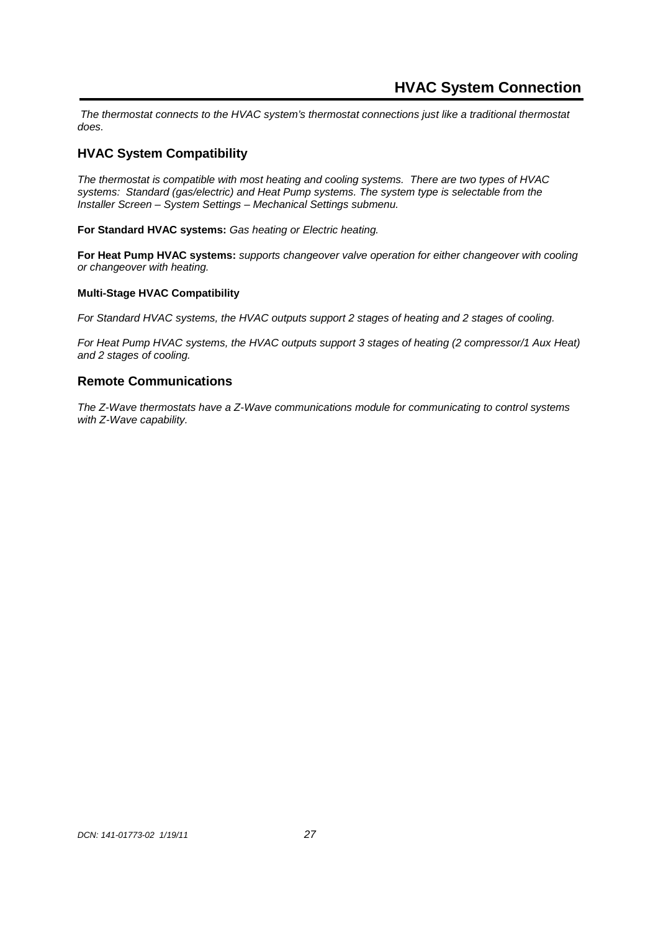The thermostat connects to the HVAC system's thermostat connections just like a traditional thermostat does.

## **HVAC System Compatibility**

The thermostat is compatible with most heating and cooling systems. There are two types of HVAC systems: Standard (gas/electric) and Heat Pump systems. The system type is selectable from the Installer Screen – System Settings – Mechanical Settings submenu.

**For Standard HVAC systems:** Gas heating or Electric heating.

**For Heat Pump HVAC systems:** supports changeover valve operation for either changeover with cooling or changeover with heating.

#### **Multi-Stage HVAC Compatibility**

For Standard HVAC systems, the HVAC outputs support 2 stages of heating and 2 stages of cooling.

For Heat Pump HVAC systems, the HVAC outputs support 3 stages of heating (2 compressor/1 Aux Heat) and 2 stages of cooling.

## **Remote Communications**

The Z-Wave thermostats have a Z-Wave communications module for communicating to control systems with Z-Wave capability.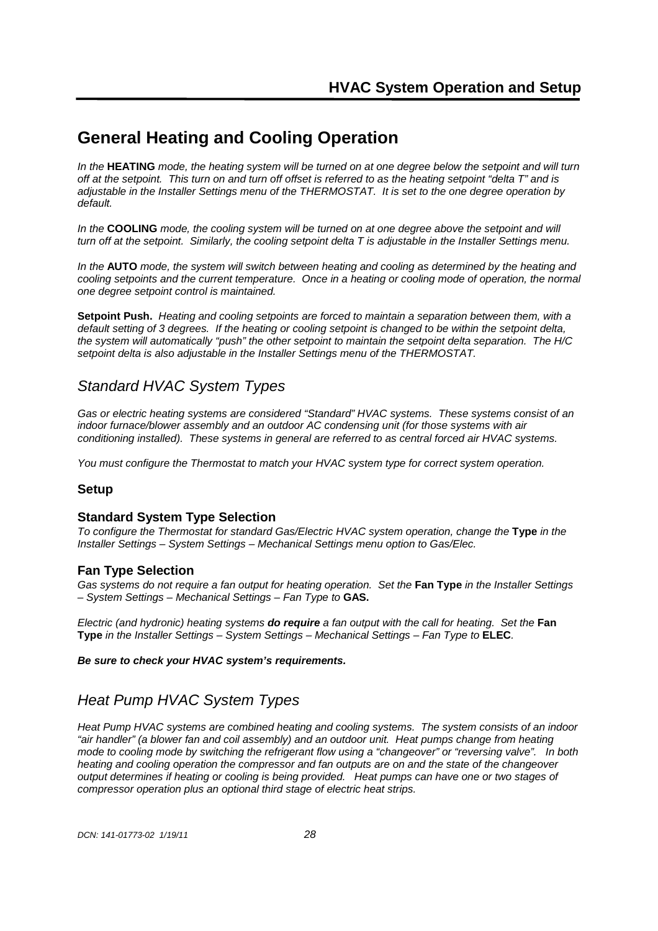# **General Heating and Cooling Operation**

In the **HEATING** mode, the heating system will be turned on at one degree below the setpoint and will turn off at the setpoint. This turn on and turn off offset is referred to as the heating setpoint "delta T" and is adjustable in the Installer Settings menu of the THERMOSTAT. It is set to the one degree operation by default.

In the **COOLING** mode, the cooling system will be turned on at one degree above the setpoint and will turn off at the setpoint. Similarly, the cooling setpoint delta T is adjustable in the Installer Settings menu.

In the **AUTO** mode, the system will switch between heating and cooling as determined by the heating and cooling setpoints and the current temperature. Once in a heating or cooling mode of operation, the normal one degree setpoint control is maintained.

**Setpoint Push.** Heating and cooling setpoints are forced to maintain a separation between them, with a default setting of 3 degrees. If the heating or cooling setpoint is changed to be within the setpoint delta, the system will automatically "push" the other setpoint to maintain the setpoint delta separation. The H/C setpoint delta is also adjustable in the Installer Settings menu of the THERMOSTAT.

# Standard HVAC System Types

Gas or electric heating systems are considered "Standard" HVAC systems. These systems consist of an indoor furnace/blower assembly and an outdoor AC condensing unit (for those systems with air conditioning installed). These systems in general are referred to as central forced air HVAC systems.

You must configure the Thermostat to match your HVAC system type for correct system operation.

## **Setup**

## **Standard System Type Selection**

To configure the Thermostat for standard Gas/Electric HVAC system operation, change the **Type** in the Installer Settings – System Settings – Mechanical Settings menu option to Gas/Elec.

## **Fan Type Selection**

Gas systems do not require a fan output for heating operation. Set the **Fan Type** in the Installer Settings – System Settings – Mechanical Settings – Fan Type to **GAS.**

Electric (and hydronic) heating systems **do require** a fan output with the call for heating. Set the **Fan Type** in the Installer Settings – System Settings – Mechanical Settings – Fan Type to **ELEC**.

#### **Be sure to check your HVAC system's requirements.**

# Heat Pump HVAC System Types

Heat Pump HVAC systems are combined heating and cooling systems. The system consists of an indoor "air handler" (a blower fan and coil assembly) and an outdoor unit. Heat pumps change from heating mode to cooling mode by switching the refrigerant flow using a "changeover" or "reversing valve". In both heating and cooling operation the compressor and fan outputs are on and the state of the changeover output determines if heating or cooling is being provided. Heat pumps can have one or two stages of compressor operation plus an optional third stage of electric heat strips.

DCN: 141-01773-02 1/19/11 28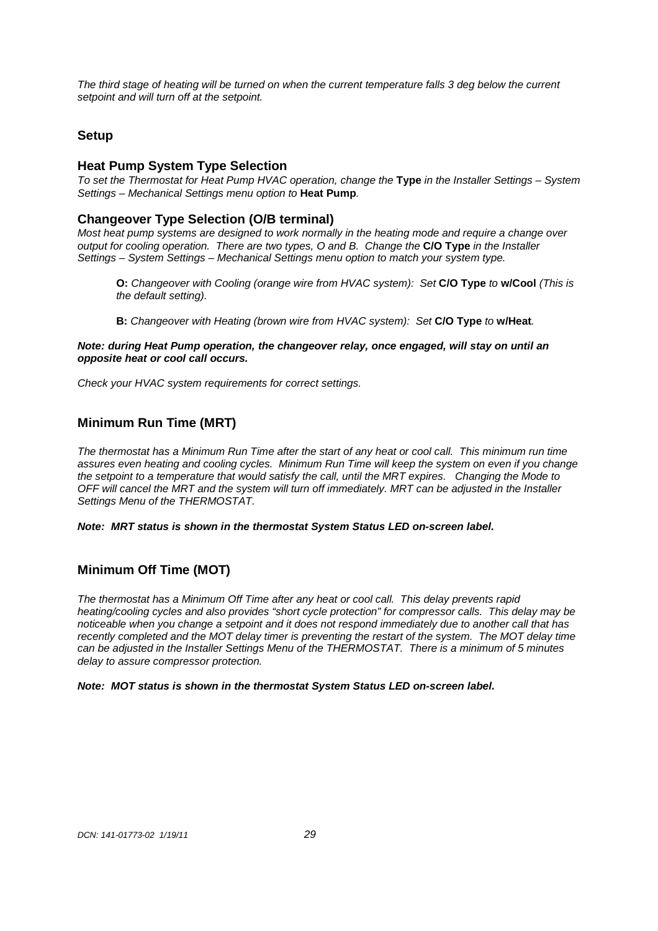The third stage of heating will be turned on when the current temperature falls 3 deg below the current setpoint and will turn off at the setpoint.

## **Setup**

## **Heat Pump System Type Selection**

To set the Thermostat for Heat Pump HVAC operation, change the **Type** in the Installer Settings – System Settings – Mechanical Settings menu option to **Heat Pump**.

## **Changeover Type Selection (O/B terminal)**

Most heat pump systems are designed to work normally in the heating mode and require a change over output for cooling operation. There are two types, O and B. Change the **C/O Type** in the Installer Settings – System Settings – Mechanical Settings menu option to match your system type.

- **O:** Changeover with Cooling (orange wire from HVAC system): Set **C/O Type** to **w/Cool** (This is the default setting).
- **B:** Changeover with Heating (brown wire from HVAC system): Set **C/O Type** to **w/Heat**.

**Note: during Heat Pump operation, the changeover relay, once engaged, will stay on until an opposite heat or cool call occurs.**

Check your HVAC system requirements for correct settings.

## **Minimum Run Time (MRT)**

The thermostat has a Minimum Run Time after the start of any heat or cool call. This minimum run time assures even heating and cooling cycles. Minimum Run Time will keep the system on even if you change the setpoint to a temperature that would satisfy the call, until the MRT expires. Changing the Mode to OFF will cancel the MRT and the system will turn off immediately. MRT can be adjusted in the Installer Settings Menu of the THERMOSTAT.

**Note: MRT status is shown in the thermostat System Status LED on-screen label.** 

## **Minimum Off Time (MOT)**

The thermostat has a Minimum Off Time after any heat or cool call. This delay prevents rapid heating/cooling cycles and also provides "short cycle protection" for compressor calls. This delay may be noticeable when you change a setpoint and it does not respond immediately due to another call that has recently completed and the MOT delay timer is preventing the restart of the system. The MOT delay time can be adjusted in the Installer Settings Menu of the THERMOSTAT. There is a minimum of 5 minutes delay to assure compressor protection.

#### **Note: MOT status is shown in the thermostat System Status LED on-screen label.**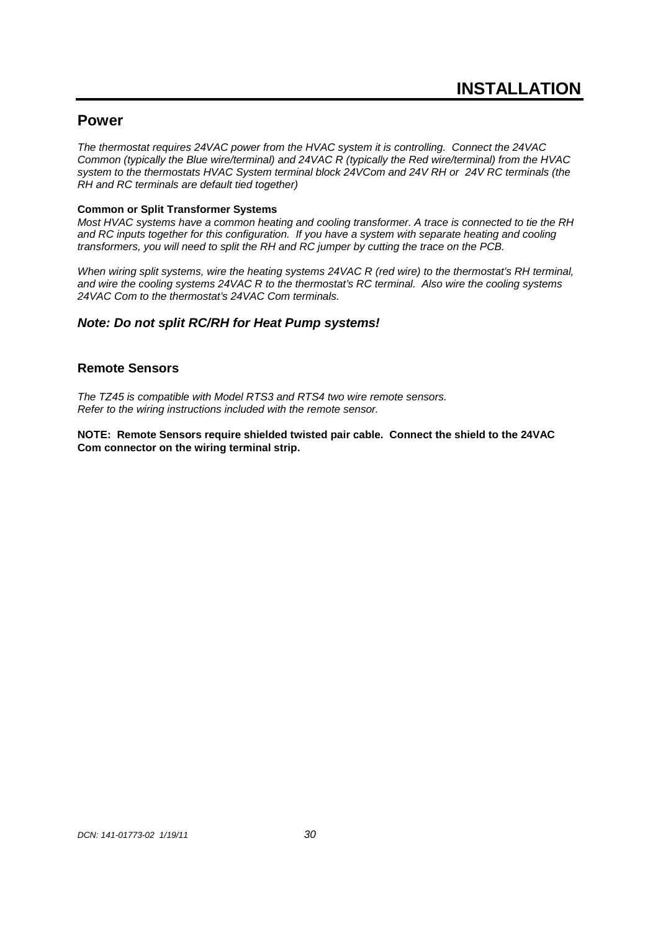## **Power**

The thermostat requires 24VAC power from the HVAC system it is controlling. Connect the 24VAC Common (typically the Blue wire/terminal) and 24VAC R (typically the Red wire/terminal) from the HVAC system to the thermostats HVAC System terminal block 24VCom and 24V RH or 24V RC terminals (the RH and RC terminals are default tied together)

#### **Common or Split Transformer Systems**

Most HVAC systems have a common heating and cooling transformer. A trace is connected to tie the RH and RC inputs together for this configuration. If you have a system with separate heating and cooling transformers, you will need to split the RH and RC jumper by cutting the trace on the PCB.

When wiring split systems, wire the heating systems 24VAC R (red wire) to the thermostat's RH terminal, and wire the cooling systems 24VAC R to the thermostat's RC terminal. Also wire the cooling systems 24VAC Com to the thermostat's 24VAC Com terminals.

## **Note: Do not split RC/RH for Heat Pump systems!**

## **Remote Sensors**

The TZ45 is compatible with Model RTS3 and RTS4 two wire remote sensors. Refer to the wiring instructions included with the remote sensor.

**NOTE: Remote Sensors require shielded twisted pair cable. Connect the shield to the 24VAC Com connector on the wiring terminal strip.**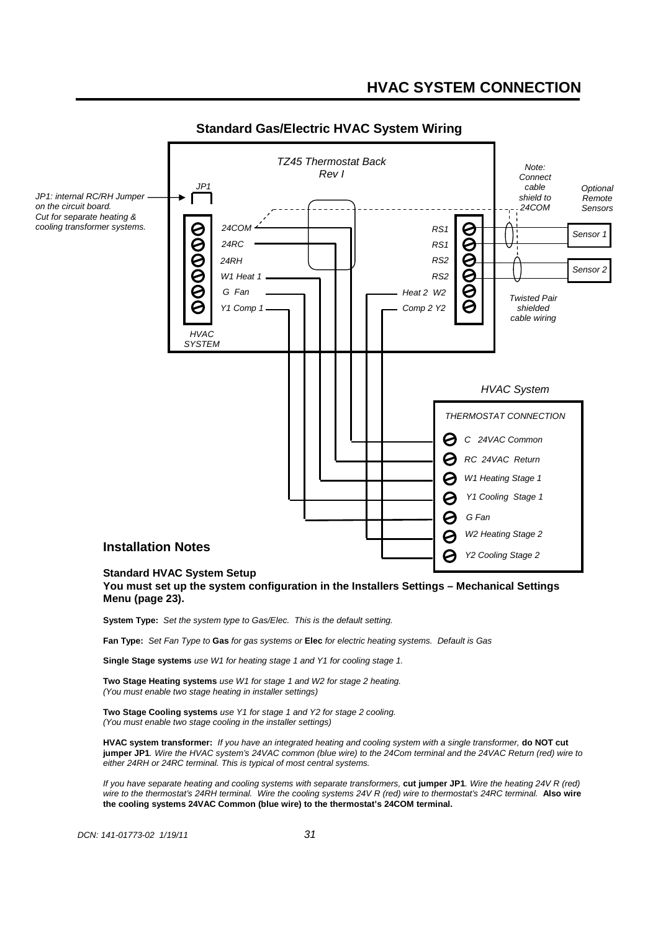

## **Standard Gas/Electric HVAC System Wiring**

#### **You must set up the system configuration in the Installers Settings – Mechanical Settings Menu (page 23).**

**System Type:** Set the system type to Gas/Elec. This is the default setting.

**Fan Type:** Set Fan Type to **Gas** for gas systems or **Elec** for electric heating systems. Default is Gas

**Single Stage systems** use W1 for heating stage 1 and Y1 for cooling stage 1.

**Two Stage Heating systems** use W1 for stage 1 and W2 for stage 2 heating. (You must enable two stage heating in installer settings)

**Two Stage Cooling systems** use Y1 for stage 1 and Y2 for stage 2 cooling. (You must enable two stage cooling in the installer settings)

**HVAC system transformer:** If you have an integrated heating and cooling system with a single transformer, **do NOT cut jumper JP1**. Wire the HVAC system's 24VAC common (blue wire) to the 24Com terminal and the 24VAC Return (red) wire to either 24RH or 24RC terminal. This is typical of most central systems.

If you have separate heating and cooling systems with separate transformers, **cut jumper JP1**. Wire the heating 24V R (red) wire to the thermostat's 24RH terminal. Wire the cooling systems 24V R (red) wire to thermostat's 24RC terminal. **Also wire the cooling systems 24VAC Common (blue wire) to the thermostat's 24COM terminal.**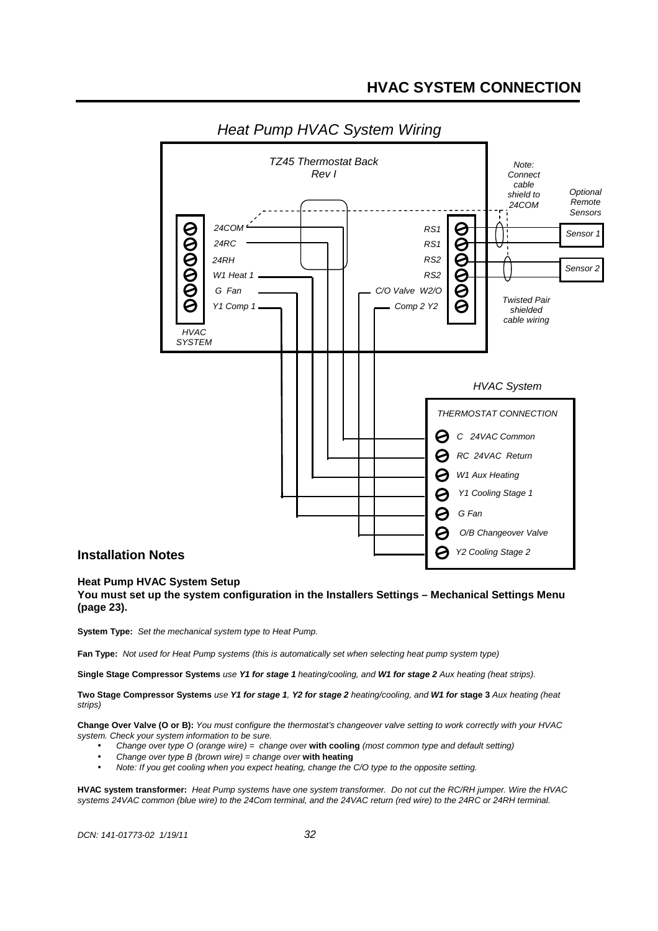

## **Heat Pump HVAC System Setup**

**You must set up the system configuration in the Installers Settings – Mechanical Settings Menu (page 23).** 

**System Type:** Set the mechanical system type to Heat Pump.

**Fan Type:** Not used for Heat Pump systems (this is automatically set when selecting heat pump system type)

**Single Stage Compressor Systems** use **Y1 for stage 1** heating/cooling, and **W1 for stage 2** Aux heating (heat strips).

**Two Stage Compressor Systems** use **Y1 for stage 1**, **Y2 for stage 2** heating/cooling, and **W1 for stage 3** Aux heating (heat strips)

**Change Over Valve (O or B):** You must configure the thermostat's changeover valve setting to work correctly with your HVAC system. Check your system information to be sure.

- Change over type O (orange wire) = change over **with cooling** (most common type and default setting)
- Change over type B (brown wire) = change over **with heating**
- Note: If you get cooling when you expect heating, change the C/O type to the opposite setting.

**HVAC system transformer:** Heat Pump systems have one system transformer. Do not cut the RC/RH jumper. Wire the HVAC systems 24VAC common (blue wire) to the 24Com terminal, and the 24VAC return (red wire) to the 24RC or 24RH terminal.

DCN: 141-01773-02 1/19/11 32